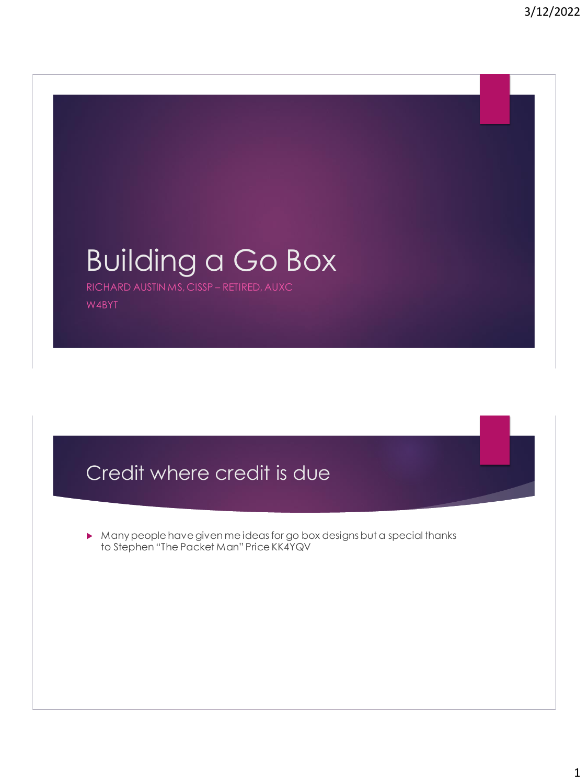# Building a Go Box RICHARD AUSTIN MS, CISSP – RETIRED, AUXC W4BYT

## Credit where credit is due

 Many people have given me ideas for go box designs but a special thanks to Stephen "The Packet Man" Price KK4YQV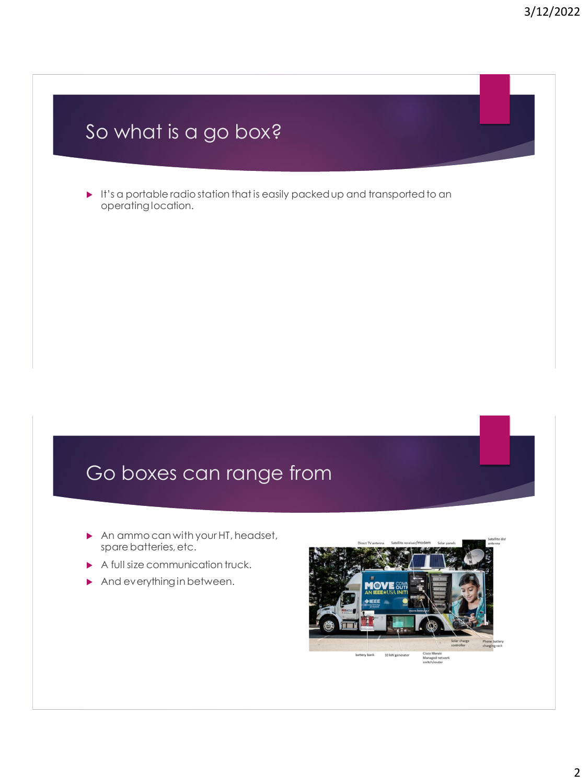## So what is a go box?

It's a portable radio station that is easily packed up and transported to an operating location.

## Go boxes can range from

- An ammo can with your HT, headset, spare batteries, etc.
- A full size communication truck.
- And everything in between.

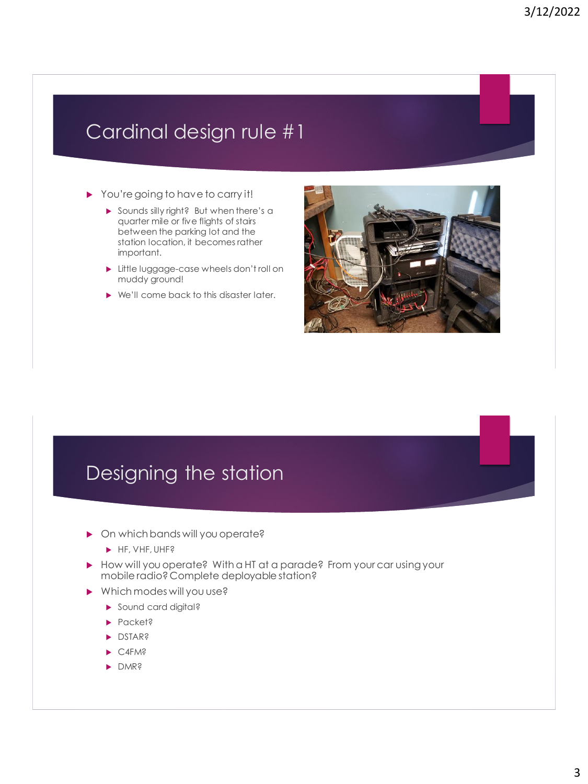#### Cardinal design rule #1

- ▶ You're going to have to carry it!
	- Sounds silly right? But when there's a quarter mile or five flights of stairs between the parking lot and the station location, it becomes rather important.
	- **Little luggage-case wheels don't roll on** muddy ground!
	- ▶ We'll come back to this disaster later.



#### Designing the station

- ▶ On which bands will you operate?
	- $\blacktriangleright$  HF, VHF, UHF?
- How will you operate? With a HT at a parade? From your car using your mobile radio? Complete deployable station?
- Which modes will you use?
	- Sound card digital?
	- ▶ Packet?
	- **DSTAR?**
	- $\blacktriangleright$  C4FM?
	- DMR?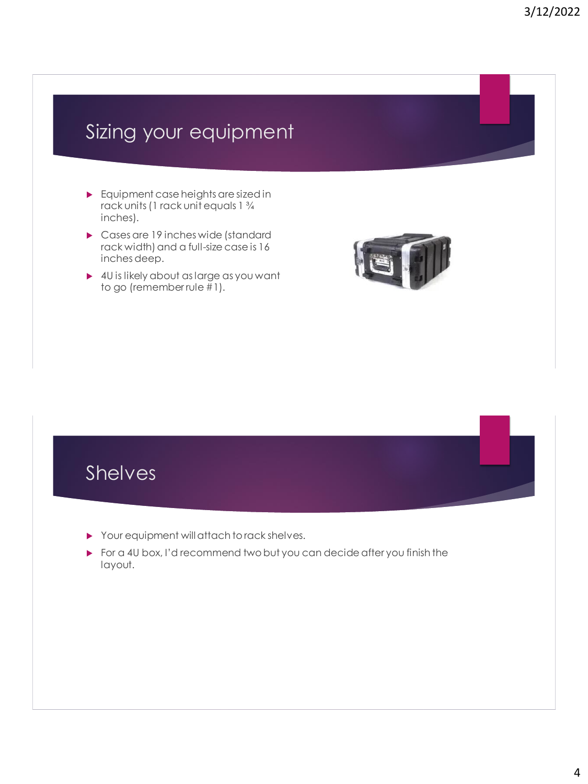## Sizing your equipment

- Equipment case heights are sized in rack units (1 rack unit equals 1 ¾ inches).
- Cases are 19 inches wide (standard rack width) and a full-size case is 16 inches deep.
- ▶ 4U is likely about as large as you want to go (remember rule #1).





- Your equipment will attach to rack shelves.
- For a 4U box, I'd recommend two but you can decide after you finish the layout.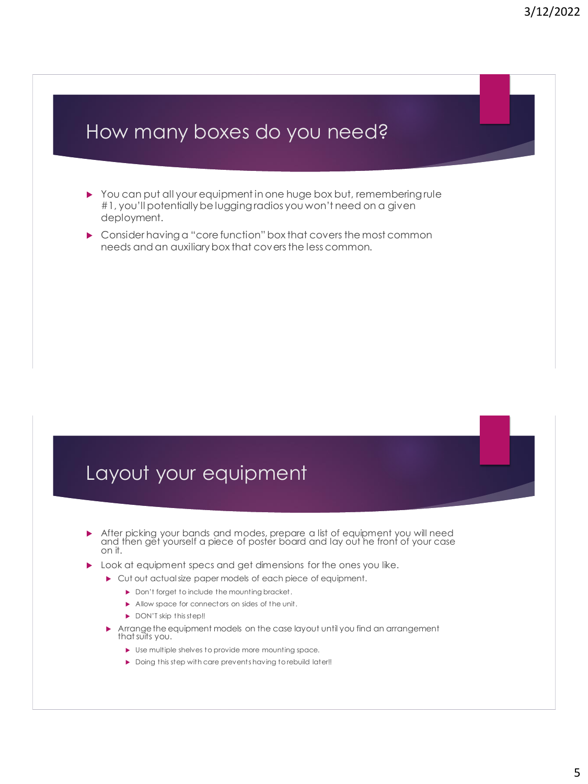#### How many boxes do you need?

- You can put all your equipment in one huge box but, remembering rule #1, you'll potentially be lugging radios you won't need on a given deployment.
- ▶ Consider having a "core function" box that covers the most common needs and an auxiliary box that covers the less common.

#### Layout your equipment

- After picking your bands and modes, prepare a list of equipment you will need and then get yourself a piece of poster board and lay out he front of your case on it.
- **Look at equipment specs and get dimensions for the ones you like.** 
	- $\blacktriangleright$  Cut out actual size paper models of each piece of equipment.
		- Don't forget to include the mounting bracket.
		- Allow space for connectors on sides of the unit.
		- DON'T skip this step!!
	- Arrange the equipment models on the case layout until you find an arrangement that suits you.
		- Use multiple shelves to provide more mounting space.
		- Doing this step with care prevents having to rebuild later!!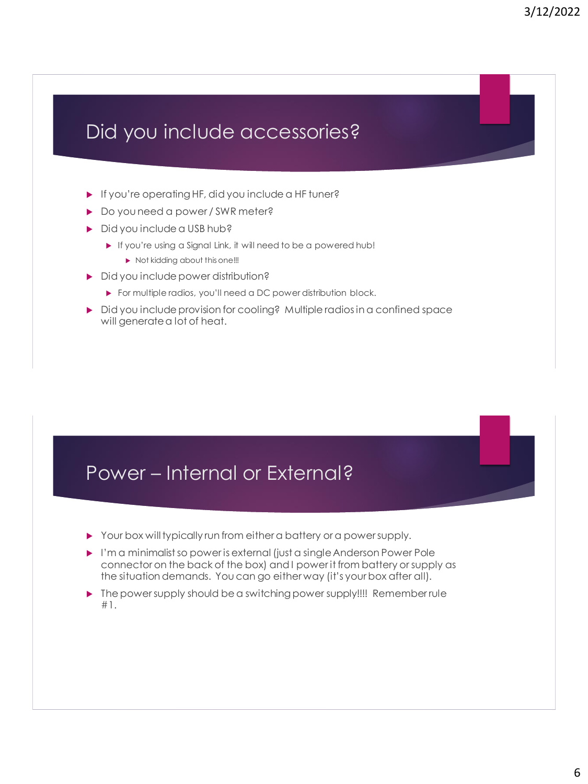#### Did you include accessories?

- If you're operating HF, did you include a HF tuner?
- ▶ Do you need a power / SWR meter?
- Did you include a USB hub?
	- If you're using a Signal Link, it will need to be a powered hub!
		- $\blacktriangleright$  Not kidding about this one!!!
- Did you include power distribution?
	- For multiple radios, you'll need a DC power distribution block.
- ▶ Did you include provision for cooling? Multiple radios in a confined space will generate a lot of heat.

#### Power – Internal or External?

- Your box will typically run from either a battery or a power supply.
- I'm a minimalist so power is external (just a single Anderson Power Pole connector on the back of the box) and I power it from battery or supply as the situation demands. You can go either way (it's your box after all).
- **The power supply should be a switching power supply!!!! Remember rule** #1.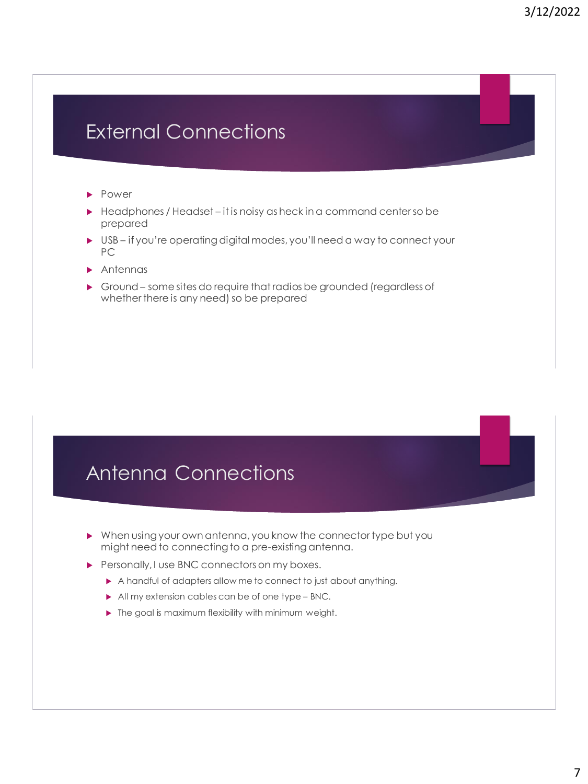## External Connections

- **Power**
- $\blacktriangleright$  Headphones / Headset it is noisy as heck in a command center so be prepared
- USB if you're operating digital modes, you'll need a way to connect your PC
- **Antennas**
- Ground some sites do require that radios be grounded (regardless of whether there is any need) so be prepared

#### Antenna Connections

- When using your own antenna, you know the connector type but you might need to connecting to a pre-existing antenna.
- Personally, I use BNC connectors on my boxes.
	- A handful of adapters allow me to connect to just about anything.
	- All my extension cables can be of one type BNC.
	- $\blacktriangleright$  The goal is maximum flexibility with minimum weight.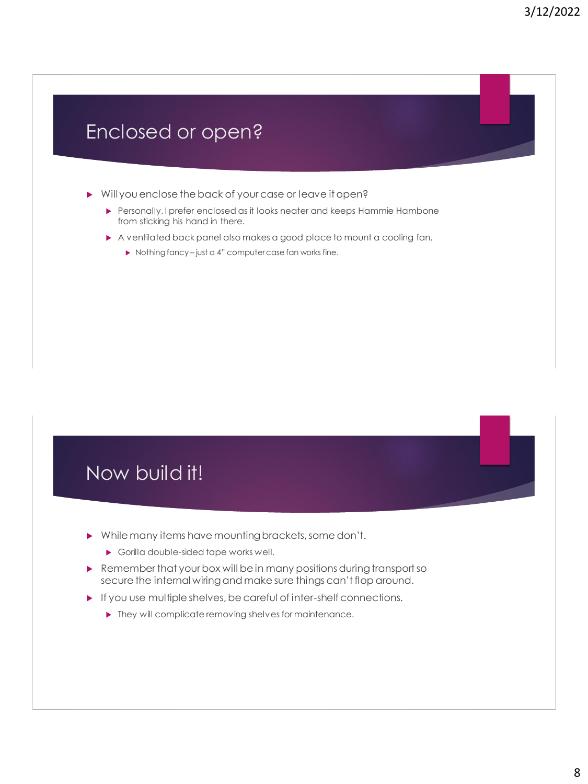#### Enclosed or open?

- Will you enclose the back of your case or leave it open?
	- Personally, I prefer enclosed as it looks neater and keeps Hammie Hambone from sticking his hand in there.
	- A ventilated back panel also makes a good place to mount a cooling fan.
		- ▶ Nothing fancy just a 4" computer case fan works fine.



- While many items have mounting brackets, some don't.
	- Gorilla double-sided tape works well.
- Remember that your box will be in many positions during transport so secure the internal wiring and make sure things can't flop around.
- $\blacktriangleright$  If you use multiple shelves, be careful of inter-shelf connections.
	- $\blacktriangleright$  They will complicate removing shelves for maintenance.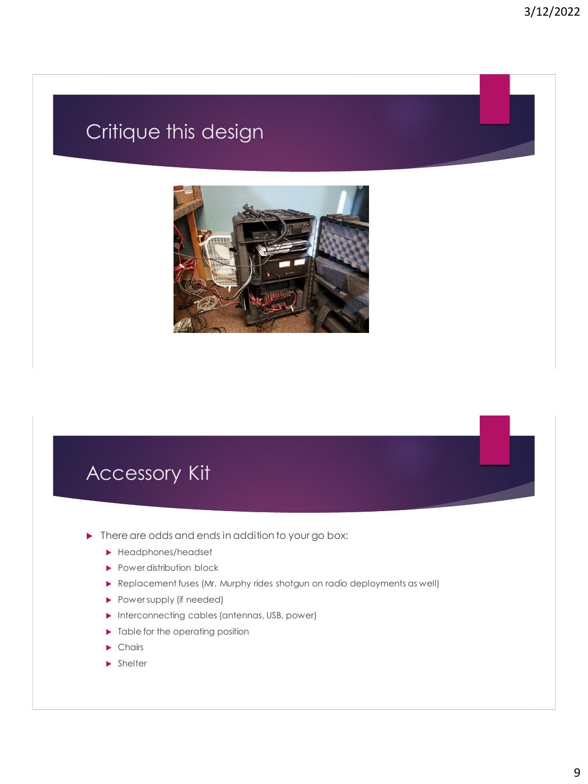## Critique this design



#### Accessory Kit

- **Figure 1** There are odds and ends in addition to your go box:
	- ▶ Headphones/headset
	- Power distribution block
	- Replacement fuses (Mr. Murphy rides shotgun on radio deployments as well)
	- Power supply (if needed)
	- **Interconnecting cables (antennas, USB, power)**
	- $\blacktriangleright$  Table for the operating position
	- Chairs
	- **>** Shelter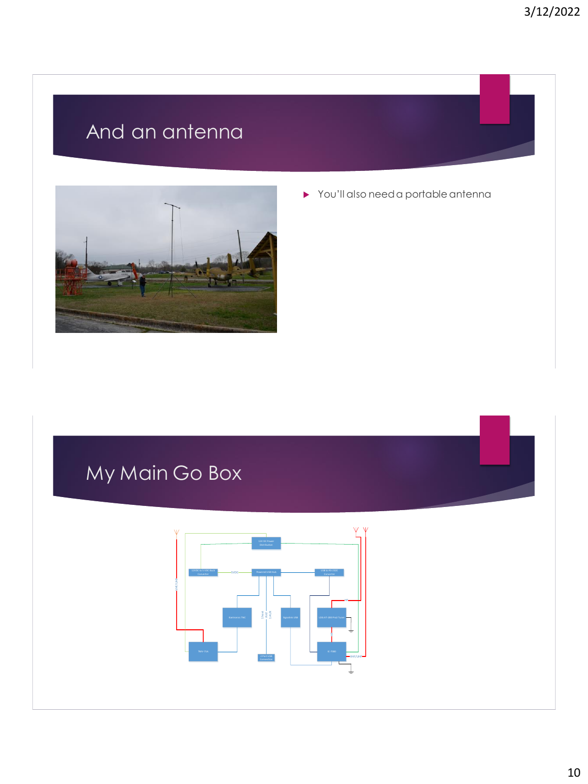## And an antenna



You'll also need a portable antenna

## My Main Go Box